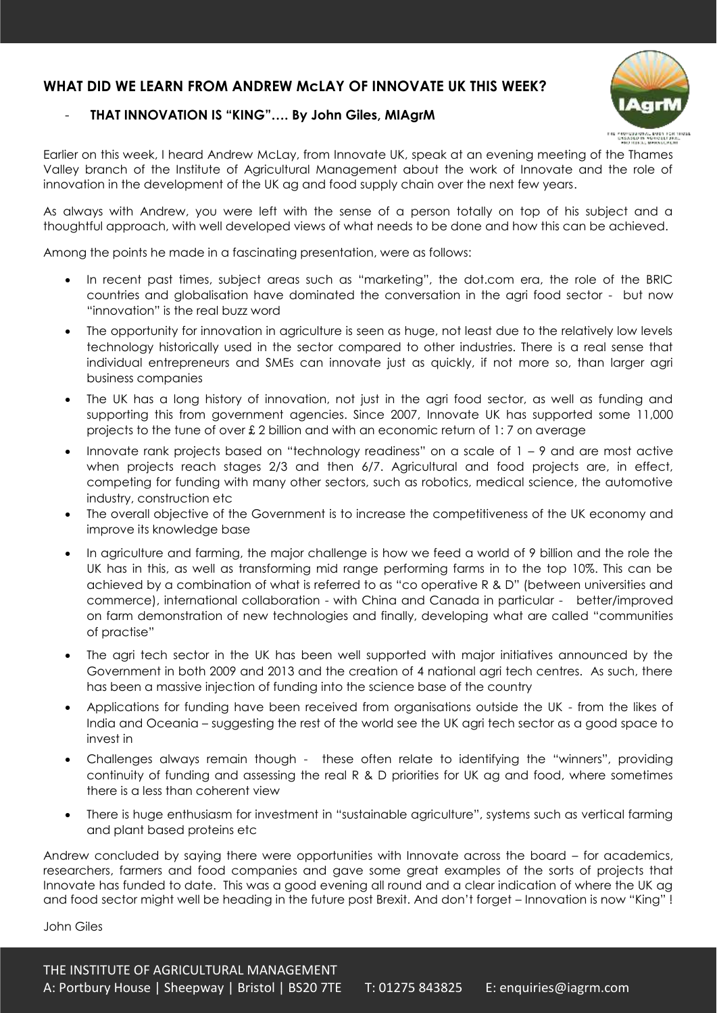## **WHAT DID WE LEARN FROM ANDREW McLAY OF INNOVATE UK THIS WEEK?**

## - **THAT INNOVATION IS "KING"…. By John Giles, MIAgrM**



Earlier on this week, I heard Andrew McLay, from Innovate UK, speak at an evening meeting of the Thames Valley branch of the Institute of Agricultural Management about the work of Innovate and the role of innovation in the development of the UK ag and food supply chain over the next few years.

As always with Andrew, you were left with the sense of a person totally on top of his subject and a thoughtful approach, with well developed views of what needs to be done and how this can be achieved.

Among the points he made in a fascinating presentation, were as follows:

- In recent past times, subject areas such as "marketing", the dot.com era, the role of the BRIC countries and globalisation have dominated the conversation in the agri food sector - but now "innovation" is the real buzz word
- The opportunity for innovation in agriculture is seen as huge, not least due to the relatively low levels technology historically used in the sector compared to other industries. There is a real sense that individual entrepreneurs and SMEs can innovate just as quickly, if not more so, than larger agri business companies
- The UK has a long history of innovation, not just in the agri food sector, as well as funding and supporting this from government agencies. Since 2007, Innovate UK has supported some 11,000 projects to the tune of over £ 2 billion and with an economic return of 1: 7 on average
- Innovate rank projects based on "technology readiness" on a scale of 1 9 and are most active when projects reach stages 2/3 and then 6/7. Agricultural and food projects are, in effect, competing for funding with many other sectors, such as robotics, medical science, the automotive industry, construction etc
- The overall objective of the Government is to increase the competitiveness of the UK economy and improve its knowledge base
- In agriculture and farming, the major challenge is how we feed a world of 9 billion and the role the UK has in this, as well as transforming mid range performing farms in to the top 10%. This can be achieved by a combination of what is referred to as "co operative R & D" (between universities and commerce), international collaboration - with China and Canada in particular - better/improved on farm demonstration of new technologies and finally, developing what are called "communities of practise"
- The agri tech sector in the UK has been well supported with major initiatives announced by the Government in both 2009 and 2013 and the creation of 4 national agri tech centres. As such, there has been a massive injection of funding into the science base of the country
- Applications for funding have been received from organisations outside the UK from the likes of India and Oceania – suggesting the rest of the world see the UK agri tech sector as a good space to invest in
- Challenges always remain though these often relate to identifying the "winners", providing continuity of funding and assessing the real R & D priorities for UK ag and food, where sometimes there is a less than coherent view
- There is huge enthusiasm for investment in "sustainable agriculture", systems such as vertical farming and plant based proteins etc

Andrew concluded by saying there were opportunities with Innovate across the board – for academics, researchers, farmers and food companies and gave some great examples of the sorts of projects that Innovate has funded to date. This was a good evening all round and a clear indication of where the UK ag and food sector might well be heading in the future post Brexit. And don't forget – Innovation is now "King" !

John Giles